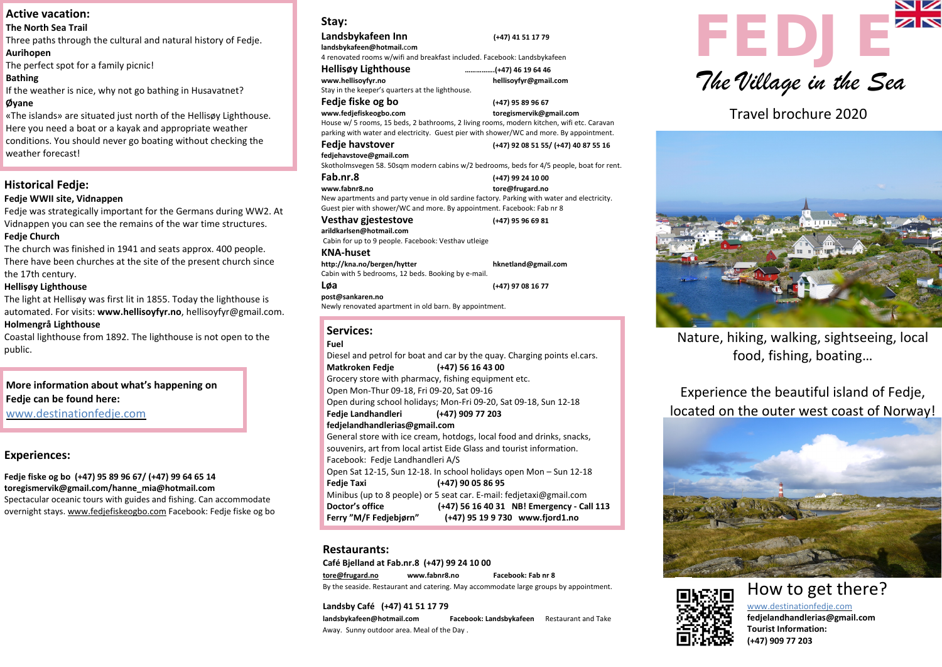

Travel brochure 2020

#### **Stay:**

#### **Landsbykafeen Inn (+47) 41 51 17 79**

**[landsbykafeen@hotmail.](mailto:landsbykafeen@hotmail.co)**co**m** 4 renovated rooms w/wifi and breakfast included. Facebook: Landsbykafeen

# **Hellisøy Lighthouse …………….(+47) 46 19 64 46**

**[www.hellisoyfyr.no](http://www.hellisoyfyr.no/) hellisoyfyr@gmail.com**  Stay in the keeper's quarters at the lighthouse.

**Fedje fiske og bo (+47) 95 89 96 67** 

**[www.fedjefiskeogbo.com](http://www.fedjefiskeogbo.com/) toregismervik@gmail.com**

House w/ 5 rooms, 15 beds, 2 bathrooms, 2 living rooms, modern kitchen, wifi etc. Caravan parking with water and electricity. Guest pier with shower/WC and more. By appointment.

#### **Fedje havstover (+47) 92 08 51 55/ (+47) 40 87 55 16**

**fedjehavstove@gmail.com**  Skotholmsvegen 58. 50sqm modern cabins w/2 bedrooms, beds for 4/5 people, boat for rent.

#### **Fab.nr.8 (+47) 99 24 10 00 [www.fabnr8.no](http://www.fabnr8.no/) [tore@frugard.no](mailto:tore@frugard.no)**

New apartments and party venue in old sardine factory. Parking with water and electricity. Guest pier with shower/WC and more. By appointment. Facebook: Fab nr 8

#### **Vesthav gjestestove (+47) 95 96 69 81**

**arildkarlsen@hotmail.com**  Cabin for up to 9 people. Facebook: Vesthav utleige

#### **KNA-huset**

**http://kna.no/bergen/hytter hknetland@gmail.com**  Cabin with 5 bedrooms, 12 beds. Booking by e-mail.

#### **Løa (+47) 97 08 16 77**

**post@sankaren.no** 

#### Newly renovated apartment in old barn. By appointment.

### **Restaurants:**

**Café Bjelland at Fab.nr.8 (+47) 99 24 10 00 [tore@frugard.no](mailto:tore@frugard.no) www.fabnr8.no Facebook: Fab nr 8**  By the seaside. Restaurant and catering. May accommodate large groups by appointment.

# **Fedje can be found here: More information about what's happening on**

#### **Landsby Café (+47) 41 51 17 79**

**landsbykafeen@hotmail.com Facebook: Landsbykafeen** Restaurant and Take Away. Sunny outdoor area. Meal of the Day .







https://www.bt.no/btmeninger/debatt.novements.novements.novements.novements.novements.novements.novements.novem<br>Spectacular oceanic tours with guides and fishing. Can accommodate and the social and social and social and so **Fedje fiske og bo (+47) 95 89 96 67/ (+47) 99 64 65 14 toregismervik@gmail.com/hanne\_mia@hotmail.com** overnight stays. [www.fedjefiskeogbo.com](http://www.fedjefiskeogbo.com/) Facebook: Fedje fiske og bo

### **Active vacation:**

#### **Services:**

#### **Fuel**

#### **Aurihopen**

 If the weather is nice, why not go bathing in Husavatnet? **Øyane**

| Diesel and petrol for boat and car by the quay. Charging points el.cars. |                                            |
|--------------------------------------------------------------------------|--------------------------------------------|
| Matkroken Fedje (+47) 56 16 43 00                                        |                                            |
| Grocery store with pharmacy, fishing equipment etc.                      |                                            |
| Open Mon-Thur 09-18, Fri 09-20, Sat 09-16                                |                                            |
| Open during school holidays; Mon-Fri 09-20, Sat 09-18, Sun 12-18         |                                            |
| Fedje Landhandleri (+47) 909 77 203                                      |                                            |
| fedjelandhandlerias@gmail.com                                            |                                            |
| General store with ice cream, hotdogs, local food and drinks, snacks,    |                                            |
| souvenirs, art from local artist Eide Glass and tourist information.     |                                            |
| Facebook: Fedje Landhandleri A/S                                         |                                            |
| Open Sat 12-15, Sun 12-18. In school holidays open Mon - Sun 12-18       |                                            |
| <b>Fedje Taxi</b>                                                        | (+47) 90 05 86 95                          |
| Minibus (up to 8 people) or 5 seat car. E-mail: fedjetaxi@gmail.com      |                                            |
| Doctor's office                                                          | (+47) 56 16 40 31 NB! Emergency - Call 113 |
| Ferry "M/F Fedjebjørn"                                                   | (+47) 95 19 9 730 www.fjord1.no            |

# **Historical Fedje:**

#### **Fedje WWII site, Vidnappen**

Fedje was strategically important for the Germans during WW2. At Vidnappen you can see the remains of the war time structures. **Fedje Church**

The church was finished in 1941 and seats approx. 400 people. There have been churches at the site of the present church since the 17th century.

#### **Hellisøy Lighthouse**

The light at Hellisøy was first lit in 1855. Today the lighthouse is automated. For visits: **[www.hellisoyfyr.no](http://www.hellisoyfyr.no/)**, hellisoyfyr@gmail.com. **Holmengrå Lighthouse**

Coastal lighthouse from 1892. The lighthouse is not open to the public.

www.destinationfedje.com

# **Experiences:**

### **The North Sea Trail**

Three paths through the cultural and natural history of Fedje.

The perfect spot for a family picnic!

# **Bathing**

«The islands» are situated just north of the Hellisøy Lighthouse. Here you need a boat or a kayak and appropriate weather conditions. You should never go boating without checking the weather forecast!

> How to get there? www.destinationfedje.com **fedjelandhandlerias@gmail.com Tourist Information: (+47) 909 77 203**

Nature, hiking, walking, sightseeing, local food, fishing, boating…

Experience the beautiful island of Fedje, located on the outer west coast of Norway!



# *The Village in the Sea*